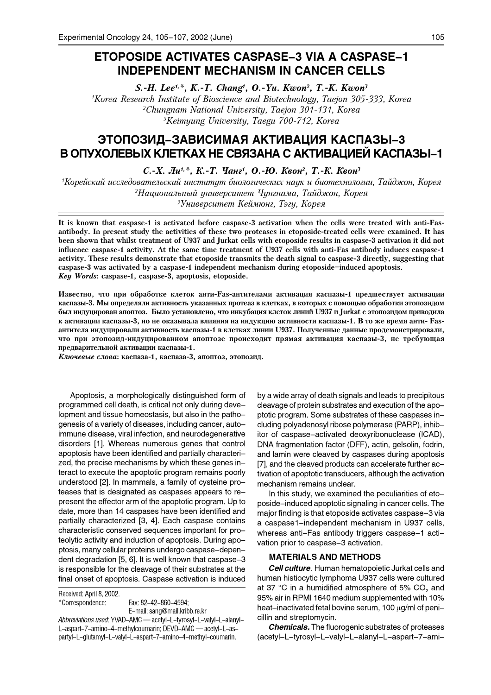# **ETOPOSIDE ACTIVATES CASPASE-3 VIA A CASPASE-1 INDEPENDENT MECHANISM IN CANCER CELLS**

S.-H. Lee<sup>1,\*</sup>, K.-T. Chang<sup>1</sup>, O.-Yu. Kwon<sup>2</sup>, T.-K. Kwon<sup>3</sup> <sup>1</sup>Korea Research Institute of Bioscience and Biotechnology, Taejon 305-333, Korea <sup>2</sup>Chungnam National University, Taejon 301-131, Korea <sup>3</sup>Keimyung University, Taegu 700-712, Korea

# ЭТОПОЗИД-ЗАВИСИМАЯ АКТИВАЦИЯ КАСПАЗЫ-3 В ОПУХОЛЕВЫХ КЛЕТКАХ НЕ СВЯЗАНА С АКТИВАЦИЕЙ КАСПАЗЫ-1

С.-Х. Ли<sup>1,\*</sup>, К.-Т. Чанг<sup>1</sup>, О.-Ю. Квон<sup>2</sup>, Т.-К. Квон<sup>3</sup>

"Корейский исследовательский институт биологических наук и биотехнологии, Тайджон, Корея <sup>2</sup>Национальный университет Чунгнама, Тайджон, Корея <sup>3</sup>Университет Кеймюнг, Тэгц, Корея

It is known that caspase-1 is activated before caspase-3 activation when the cells were treated with anti-Fasantibody. In present study the activities of these two proteases in etoposide-treated cells were examined. It has been shown that whilst treatment of U937 and Jurkat cells with etoposide results in caspase-3 activation it did not influence caspase-1 activity. At the same time treatment of U937 cells with anti-Fas antibody induces caspase-1 activity. These results demonstrate that etoposide transmits the death signal to caspase-3 directly, suggesting that caspase-3 was activated by a caspase-1 independent mechanism during etoposide-induced apoptosis. Key Words: caspase-1, caspase-3, apoptosis, etoposide.

Известно, что при обработке клеток анти-Fas-антителами активация каспазы-1 предшествует активации каспазы-3. Мы определяли активность указанных протеаз в клетках, в которых с помощью обработки этопозидом был индуцирован апоптоз. Было установлено, что инкубация клеток линий U937 и Jurkat с этопозидом приводила к активации каспазы-3, но не оказывала влияния на индукцию активности каспазы-1. В то же время анти- Fasантитела индуцировали активность каспазы-1 в клетках линии U937. Полученные данные продемонстрировали, что при этопозид-индуцированном апоптозе происходит прямая активация каспазы-3, не требующая предварительной активации каспазы-1.

Ключевые слова: каспаза-1, каспаза-3, апоптоз, этопозид.

Apoptosis, a morphologically distinguished form of programmed cell death, is critical not only during development and tissue homeostasis, but also in the pathogenesis of a variety of diseases, including cancer, autoimmune disease, viral infection, and neurodegenerative disorders [1]. Whereas numerous genes that control apoptosis have been identified and partially characterized, the precise mechanisms by which these genes interact to execute the apoptotic program remains poorly understood [2]. In mammals, a family of cysteine proteases that is designated as caspases appears to represent the effector arm of the apoptotic program. Up to date, more than 14 caspases have been identified and partially characterized [3, 4]. Each caspase contains characteristic conserved sequences important for proteolytic activity and induction of apoptosis. During apoptosis, many cellular proteins undergo caspase-dependent degradation [5, 6]. It is well known that caspase-3 is responsible for the cleavage of their substrates at the final onset of apoptosis. Caspase activation is induced

Received: April 8, 2002. \*Correspondence:

Fax: 82-42-860-4594: E-mail: sang@mail.kribb.re.kr

Abbreviations used: YVAD-AMC - acetyl-L-tyrosyl-L-valyl-L-alanyl-L-aspart-7-amino-4-methylcoumarin; DEVD-AMC - acetyl-L-aspartyl-L-glutamyl-L-valyl-L-aspart-7-amino-4-methyl-coumarin.

by a wide array of death signals and leads to precipitous cleavage of protein substrates and execution of the apoptotic program. Some substrates of these caspases including polyadenosyl ribose polymerase (PARP), inhibitor of caspase-activated deoxyribonuclease (ICAD), DNA fragmentation factor (DFF), actin, gelsolin, fodrin, and lamin were cleaved by caspases during apoptosis [7], and the cleaved products can accelerate further activation of apoptotic transducers, although the activation mechanism remains unclear.

In this study, we examined the peculiarities of etoposide-induced apoptotic signaling in cancer cells. The major finding is that etoposide activates caspase-3 via a caspase1-independent mechanism in U937 cells, whereas anti-Fas antibody triggers caspase-1 activation prior to caspase-3 activation.

## **MATERIALS AND METHODS**

**Cell culture.** Human hematopoietic Jurkat cells and human histiocytic lymphoma U937 cells were cultured at 37 °C in a humidified atmosphere of 5%  $CO<sub>2</sub>$  and 95% air in RPMI 1640 medium supplemented with 10% heat-inactivated fetal bovine serum, 100 µg/ml of penicillin and streptomycin.

**Chemicals.** The fluorogenic substrates of proteases (acetyl-L-tyrosyl-L-valyl-L-alanyl-L-aspart-7-ami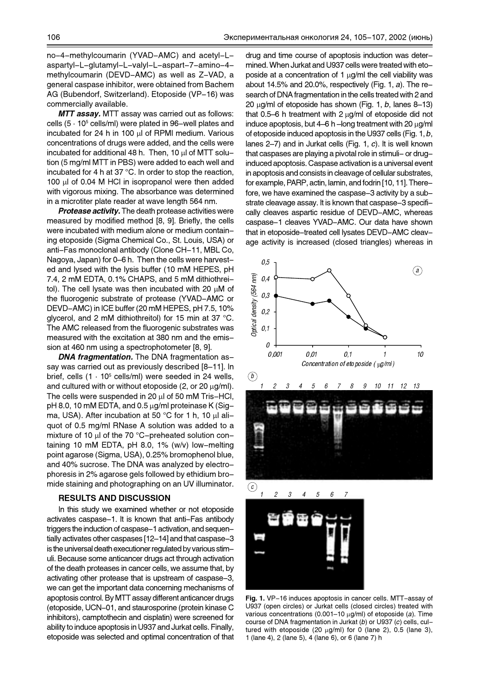no-4-methylcoumarin (YVAD-AMC) and acetyl-Laspartyl-L-glutamyl-L-valyl-L-aspart-7-amino-4methylcoumarin (DEVD-AMC) as well as Z-VAD, a general caspase inhibitor, were obtained from Bachem AG (Bubendorf, Switzerland). Etoposide (VP-16) was commercially available.

**MTT assay.** MTT assay was carried out as follows: cells  $(5 \cdot 10^5 \text{ cells/ml})$  were plated in 96-well plates and incubated for 24 h in 100 µl of RPMI medium. Various concentrations of drugs were added, and the cells were incubated for additional 48 h. Then, 10 µl of MTT solution (5 mg/ml MTT in PBS) were added to each well and incubated for 4 h at 37 °C. In order to stop the reaction, 100 µl of 0.04 M HCl in isopropanol were then added with vigorous mixing. The absorbance was determined in a microtiter plate reader at wave length 564 nm.

Protease activity. The death protease activities were measured by modified method [8, 9]. Briefly, the cells were incubated with medium alone or medium containing etoposide (Sigma Chemical Co., St. Louis, USA) or anti-Fas monoclonal antibody (Clone CH-11, MBL Co. Nagoya, Japan) for 0-6 h. Then the cells were harvested and lysed with the lysis buffer (10 mM HEPES, pH 7.4, 2 mM EDTA, 0.1% CHAPS, and 5 mM dithiothreitol). The cell lysate was then incubated with 20  $\mu$ M of the fluorogenic substrate of protease (YVAD-AMC or DEVD-AMC) in ICE buffer (20 mM HEPES, pH 7.5, 10% glycerol, and 2 mM dithiothreitol) for 15 min at 37 °C. The AMC released from the fluorogenic substrates was measured with the excitation at 380 nm and the emission at 460 nm using a spectrophotometer [8, 9].

DNA fragmentation. The DNA fragmentation assay was carried out as previously described [8-11]. In brief, cells  $(1 \cdot 10^5 \text{ cells/ml})$  were seeded in 24 wells, and cultured with or without etoposide  $(2, or 20 \mu q/ml)$ . The cells were suspended in 20 µl of 50 mM Tris-HCl, pH 8.0, 10 mM EDTA, and 0.5 µg/ml proteinase K (Sigma, USA). After incubation at 50  $^{\circ}$ C for 1 h, 10 µl aliquot of 0.5 mg/ml RNase A solution was added to a mixture of 10  $\mu$  of the 70 °C-preheated solution containing 10 mM EDTA, pH 8.0, 1% ( $w/v$ ) low–melting point agarose (Sigma, USA), 0.25% bromophenol blue, and 40% sucrose. The DNA was analyzed by electrophoresis in 2% agarose gels followed by ethidium bromide staining and photographing on an UV illuminator.

#### **RESULTS AND DISCUSSION**

In this study we examined whether or not etoposide activates caspase-1. It is known that anti-Fas antibody triggers the induction of caspase-1 activation, and sequentially activates other caspases [12-14] and that caspase-3 is the universal death executioner regulated by various stimuli. Because some anticancer drugs act through activation of the death proteases in cancer cells, we assume that, by activating other protease that is upstream of caspase-3, we can get the important data concerning mechanisms of apoptosis control. By MTT assay different anticancer drugs (etoposide, UCN-01, and staurosporine (protein kinase C) inhibitors), camptothecin and cisplatin) were screened for ability to induce apoptosis in U937 and Jurkat cells. Finally, etoposide was selected and optimal concentration of that drug and time course of apoptosis induction was determined. When Jurkat and U937 cells were treated with etoposide at a concentration of 1  $\mu$ g/ml the cell viability was about 14.5% and 20.0%, respectively (Fig. 1,  $a$ ). The research of DNA fragmentation in the cells treated with 2 and 20  $\mu$ g/ml of etoposide has shown (Fig. 1, b, lanes 8-13) that 0.5-6 h treatment with 2  $\mu$ g/ml of etoposide did not induce apoptosis, but 4–6 h –long treatment with 20 µg/ml of etoposide induced apoptosis in the U937 cells (Fig. 1, b. lanes  $2-7$ ) and in Jurkat cells (Fig. 1, c). It is well known that caspases are playing a pivotal role in stimuli- or druginduced apoptosis. Caspase activation is a universal event in apoptosis and consists in cleavage of cellular substrates, for example, PARP, actin, lamin, and fodrin [10, 11]. Therefore, we have examined the caspase-3 activity by a substrate cleavage assay. It is known that caspase-3 specifically cleaves aspartic residue of DEVD-AMC, whereas caspase-1 cleaves YVAD-AMC. Our data have shown that in etoposide-treated cell lysates DEVD-AMC cleavage activity is increased (closed triangles) whereas in



Fig. 1. VP-16 induces apoptosis in cancer cells. MTT-assay of U937 (open circles) or Jurkat cells (closed circles) treated with various concentrations (0.001-10  $\mu$ g/ml) of etoposide (a). Time course of DNA fragmentation in Jurkat (b) or U937 (c) cells, cultured with etoposide (20  $\mu$ g/ml) for 0 (lane 2), 0.5 (lane 3), 1 (lane 4), 2 (lane 5), 4 (lane 6), or 6 (lane 7) h